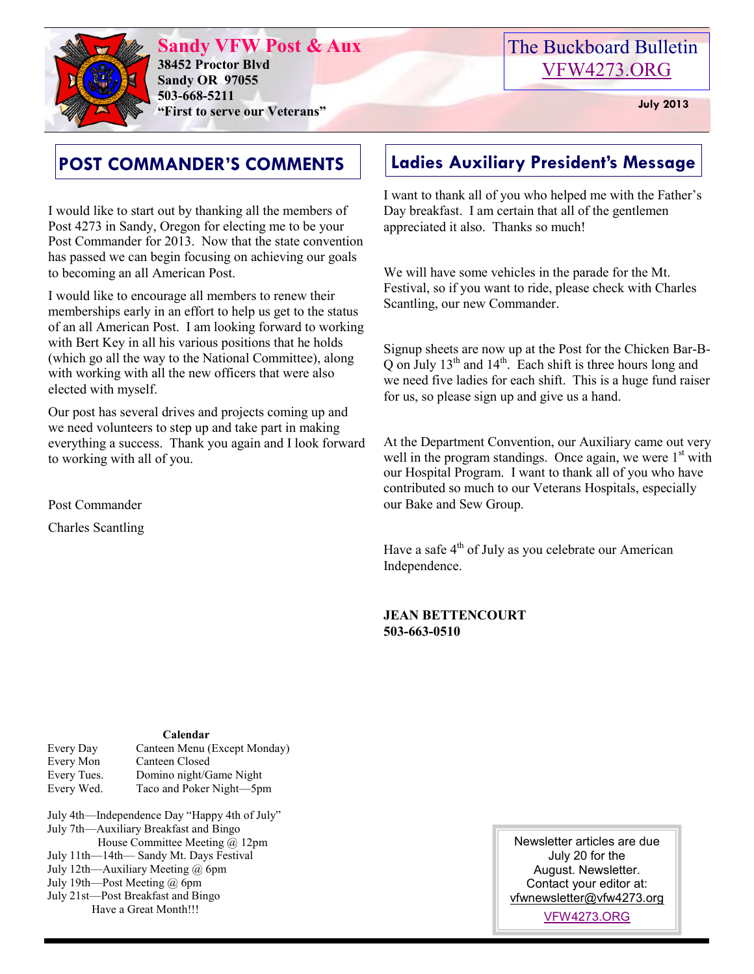

**Sandy VFW Post & Aux 38452 Proctor Blvd Sandy OR 97055 503-668-5211 "First to serve our Veterans" July 2013** 

# The Buckboard Bulletin [VFW4273.ORG](http://vfw4273.org/)

# **POST COMMANDER'S COMMENTS**

I would like to start out by thanking all the members of Post 4273 in Sandy, Oregon for electing me to be your Post Commander for 2013. Now that the state convention has passed we can begin focusing on achieving our goals to becoming an all American Post.

I would like to encourage all members to renew their memberships early in an effort to help us get to the status of an all American Post. I am looking forward to working with Bert Key in all his various positions that he holds (which go all the way to the National Committee), along with working with all the new officers that were also elected with myself.

Our post has several drives and projects coming up and we need volunteers to step up and take part in making everything a success. Thank you again and I look forward to working with all of you.

Post Commander

Charles Scantling

# **Ladies Auxiliary President's Message**

I want to thank all of you who helped me with the Father's Day breakfast. I am certain that all of the gentlemen appreciated it also. Thanks so much!

We will have some vehicles in the parade for the Mt. Festival, so if you want to ride, please check with Charles Scantling, our new Commander.

Signup sheets are now up at the Post for the Chicken Bar-B- $\overline{Q}$  on July 13<sup>th</sup> and 14<sup>th</sup>. Each shift is three hours long and we need five ladies for each shift. This is a huge fund raiser for us, so please sign up and give us a hand.

At the Department Convention, our Auxiliary came out very well in the program standings. Once again, we were  $1<sup>st</sup>$  with our Hospital Program. I want to thank all of you who have contributed so much to our Veterans Hospitals, especially our Bake and Sew Group.

Have a safe 4<sup>th</sup> of July as you celebrate our American Independence.

## **JEAN BETTENCOURT 503-663-0510**

## **Calendar**

- Every Day Canteen Menu (Except Monday) Every Mon Canteen Closed Every Tues. Domino night/Game Night Every Wed. Taco and Poker Night—5pm
- July 4th—Independence Day "Happy 4th of July" July 7th—Auxiliary Breakfast and Bingo House Committee Meeting @ 12pm July 11th—14th— Sandy Mt. Days Festival July 12th—Auxiliary Meeting @ 6pm July 19th—Post Meeting @ 6pm July 21st—Post Breakfast and Bingo

Have a Great Month!!!

Newsletter articles are due July 20 for the August. Newsletter. Contact your editor at: [vfwnewsletter@vfw4273.org](mailto:admin@vfw4273.org)

[VFW4273.ORG](http://vfw4273.org/)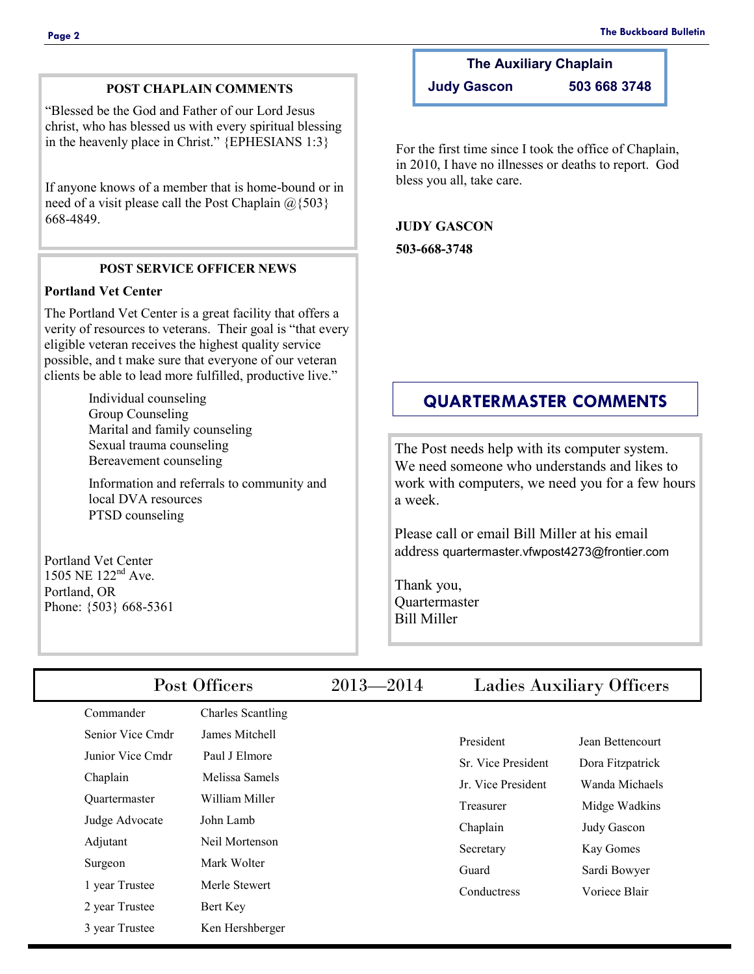# **POST CHAPLAIN COMMENTS**

"Blessed be the God and Father of our Lord Jesus christ, who has blessed us with every spiritual blessing in the heavenly place in Christ." {EPHESIANS 1:3}

If anyone knows of a member that is home-bound or in need of a visit please call the Post Chaplain  $@{503}$ 668-4849.

#### **POST SERVICE OFFICER NEWS**

## **Portland Vet Center**

The Portland Vet Center is a great facility that offers a verity of resources to veterans. Their goal is "that every eligible veteran receives the highest quality service possible, and t make sure that everyone of our veteran clients be able to lead more fulfilled, productive live."

> Individual counseling Group Counseling Marital and family counseling Sexual trauma counseling Bereavement counseling

Information and referrals to community and local DVA resources PTSD counseling

Portland Vet Center 1505 NE 122nd Ave. Portland, OR Phone: {503} 668-5361

# **The Auxiliary Chaplain**

**Judy Gascon 503 668 3748**

For the first time since I took the office of Chaplain, in 2010, I have no illnesses or deaths to report. God bless you all, take care.

### **JUDY GASCON**

**503-668-3748**

# **QUARTERMASTER COMMENTS**

The Post needs help with its computer system. We need someone who understands and likes to work with computers, we need you for a few hours a week.

Please call or email Bill Miller at his email address quartermaster.vfwpost4273@frontier.com

Thank you, **Quartermaster** Bill Miller

| Post Officers        |                          | $2013 - 2014$ | <b>Ladies Auxiliary Officers</b> |                  |  |
|----------------------|--------------------------|---------------|----------------------------------|------------------|--|
| Commander            | <b>Charles Scantling</b> |               |                                  |                  |  |
| Senior Vice Cmdr     | James Mitchell           |               | President                        | Jean Bettencourt |  |
| Junior Vice Cmdr     | Paul J Elmore            |               | Sr. Vice President               | Dora Fitzpatrick |  |
| Chaplain             | Melissa Samels           |               | Jr. Vice President               | Wanda Michaels   |  |
| <b>Ouartermaster</b> | William Miller           |               | Treasurer                        | Midge Wadkins    |  |
| Judge Advocate       | John Lamb                |               | Chaplain                         | Judy Gascon      |  |
| Adjutant             | Neil Mortenson           |               | Secretary                        | Kay Gomes        |  |
| Surgeon              | Mark Wolter              |               | Guard                            | Sardi Bowyer     |  |
| 1 year Trustee       | Merle Stewert            |               | Conductress                      | Voriece Blair    |  |
| 2 year Trustee       | Bert Key                 |               |                                  |                  |  |
| 3 year Trustee       | Ken Hershberger          |               |                                  |                  |  |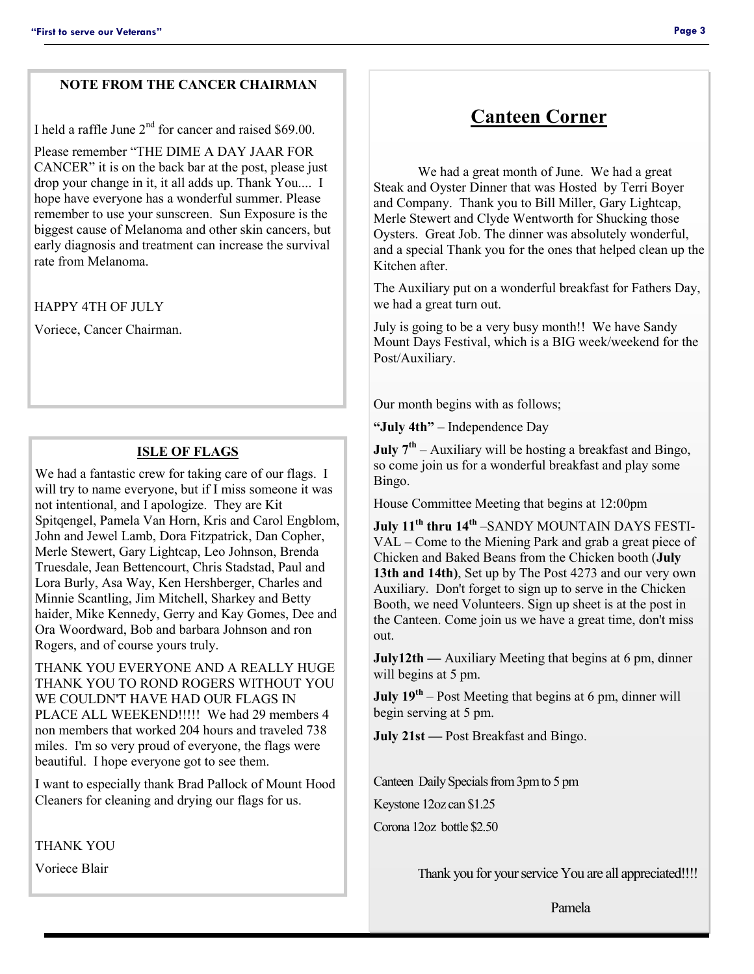## **NOTE FROM THE CANCER CHAIRMAN**

I held a raffle June 2<sup>nd</sup> for cancer and raised \$69.00.

Please remember "THE DIME A DAY JAAR FOR CANCER" it is on the back bar at the post, please just drop your change in it, it all adds up. Thank You.... I hope have everyone has a wonderful summer. Please remember to use your sunscreen. Sun Exposure is the biggest cause of Melanoma and other skin cancers, but early diagnosis and treatment can increase the survival rate from Melanoma.

HAPPY 4TH OF JULY

Voriece, Cancer Chairman.

#### **ISLE OF FLAGS**

We had a fantastic crew for taking care of our flags. I will try to name everyone, but if I miss someone it was not intentional, and I apologize. They are Kit Spitqengel, Pamela Van Horn, Kris and Carol Engblom, John and Jewel Lamb, Dora Fitzpatrick, Dan Copher, Merle Stewert, Gary Lightcap, Leo Johnson, Brenda Truesdale, Jean Bettencourt, Chris Stadstad, Paul and Lora Burly, Asa Way, Ken Hershberger, Charles and Minnie Scantling, Jim Mitchell, Sharkey and Betty haider, Mike Kennedy, Gerry and Kay Gomes, Dee and Ora Woordward, Bob and barbara Johnson and ron Rogers, and of course yours truly.

THANK YOU EVERYONE AND A REALLY HUGE THANK YOU TO ROND ROGERS WITHOUT YOU WE COULDN'T HAVE HAD OUR FLAGS IN PLACE ALL WEEKEND!!!!! We had 29 members 4 non members that worked 204 hours and traveled 738 miles. I'm so very proud of everyone, the flags were beautiful. I hope everyone got to see them.

I want to especially thank Brad Pallock of Mount Hood Cleaners for cleaning and drying our flags for us.

THANK YOU

Voriece Blair

# **Canteen Corner**

We had a great month of June. We had a great Steak and Oyster Dinner that was Hosted by Terri Boyer and Company. Thank you to Bill Miller, Gary Lightcap, Merle Stewert and Clyde Wentworth for Shucking those Oysters. Great Job. The dinner was absolutely wonderful, and a special Thank you for the ones that helped clean up the Kitchen after.

The Auxiliary put on a wonderful breakfast for Fathers Day, we had a great turn out.

July is going to be a very busy month!! We have Sandy Mount Days Festival, which is a BIG week/weekend for the Post/Auxiliary.

Our month begins with as follows;

**"July 4th"** – Independence Day

**July 7th** – Auxiliary will be hosting a breakfast and Bingo, so come join us for a wonderful breakfast and play some Bingo.

House Committee Meeting that begins at 12:00pm

**July 11th thru 14th** –SANDY MOUNTAIN DAYS FESTI-VAL – Come to the Miening Park and grab a great piece of Chicken and Baked Beans from the Chicken booth (**July 13th and 14th)**, Set up by The Post 4273 and our very own Auxiliary. Don't forget to sign up to serve in the Chicken Booth, we need Volunteers. Sign up sheet is at the post in the Canteen. Come join us we have a great time, don't miss out.

**July12th** — Auxiliary Meeting that begins at 6 pm, dinner will begins at 5 pm.

**July 19<sup>th</sup>** – Post Meeting that begins at 6 pm, dinner will begin serving at 5 pm.

**July 21st** — Post Breakfast and Bingo.

Canteen Daily Specials from 3pm to 5 pm

Keystone 12oz can \$1.25

Corona 12oz bottle \$2.50

Thank you for your service You are all appreciated!!!!

Pamela